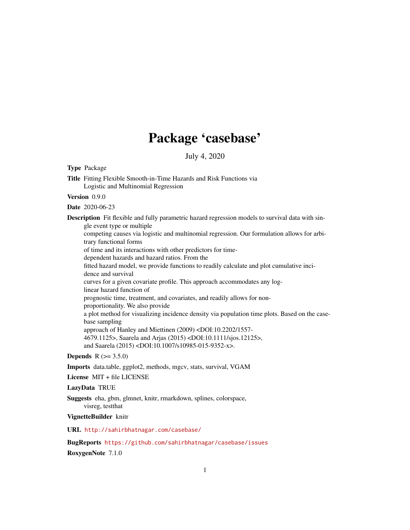# Package 'casebase'

July 4, 2020

<span id="page-0-0"></span>Type Package Title Fitting Flexible Smooth-in-Time Hazards and Risk Functions via Logistic and Multinomial Regression Version 0.9.0 Date 2020-06-23 Description Fit flexible and fully parametric hazard regression models to survival data with single event type or multiple competing causes via logistic and multinomial regression. Our formulation allows for arbitrary functional forms of time and its interactions with other predictors for timedependent hazards and hazard ratios. From the fitted hazard model, we provide functions to readily calculate and plot cumulative incidence and survival curves for a given covariate profile. This approach accommodates any loglinear hazard function of prognostic time, treatment, and covariates, and readily allows for nonproportionality. We also provide a plot method for visualizing incidence density via population time plots. Based on the casebase sampling approach of Hanley and Miettinen (2009) <DOI:10.2202/1557- 4679.1125>, Saarela and Arjas (2015) <DOI:10.1111/sjos.12125>, and Saarela (2015) <DOI:10.1007/s10985-015-9352-x>. **Depends**  $R (= 3.5.0)$ 

Imports data.table, ggplot2, methods, mgcv, stats, survival, VGAM

License MIT + file LICENSE

# LazyData TRUE

Suggests eha, gbm, glmnet, knitr, rmarkdown, splines, colorspace, visreg, testthat

#### VignetteBuilder knitr

URL <http://sahirbhatnagar.com/casebase/>

BugReports <https://github.com/sahirbhatnagar/casebase/issues> RoxygenNote 7.1.0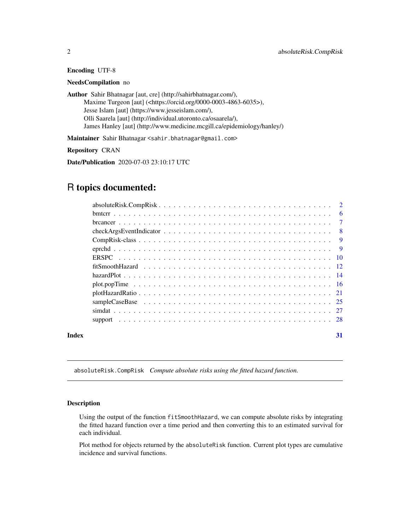# <span id="page-1-0"></span>Encoding UTF-8

# NeedsCompilation no

Author Sahir Bhatnagar [aut, cre] (http://sahirbhatnagar.com/), Maxime Turgeon [aut] (<https://orcid.org/0000-0003-4863-6035>), Jesse Islam [aut] (https://www.jesseislam.com/), Olli Saarela [aut] (http://individual.utoronto.ca/osaarela/), James Hanley [aut] (http://www.medicine.mcgill.ca/epidemiology/hanley/)

Maintainer Sahir Bhatnagar <sahir.bhatnagar@gmail.com>

Repository CRAN

Date/Publication 2020-07-03 23:10:17 UTC

# R topics documented:

| Index | 31 |
|-------|----|

absoluteRisk.CompRisk *Compute absolute risks using the fitted hazard function.*

#### <span id="page-1-1"></span>Description

Using the output of the function fitSmoothHazard, we can compute absolute risks by integrating the fitted hazard function over a time period and then converting this to an estimated survival for each individual.

Plot method for objects returned by the absoluteRisk function. Current plot types are cumulative incidence and survival functions.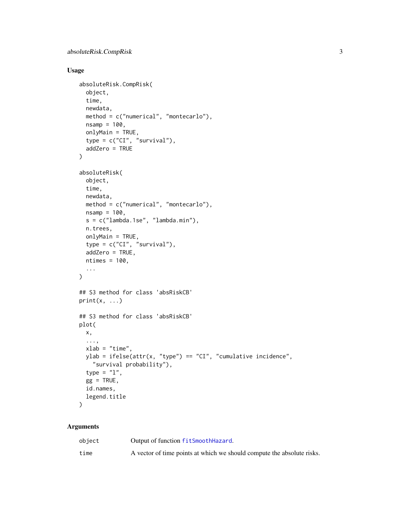# <span id="page-2-0"></span>Usage

```
absoluteRisk.CompRisk(
  object,
  time,
 newdata,
 method = c("numerical", "montecarlo"),
 nsamp = 100,
 onlyMain = TRUE,
  type = c("CI", "survival"),addZero = TRUE
\mathcal{L}absoluteRisk(
  object,
 time,
 newdata,
 method = c("numerical", "montecarlo"),
 nsamp = 100,s = c("lambda.1se", "lambda.min"),
 n.trees,
  onlyMain = TRUE,
  type = c("CI", "survival"),
  addZero = TRUE,
 ntimes = 100,
  ...
\mathcal{L}## S3 method for class 'absRiskCB'
print(x, \ldots)## S3 method for class 'absRiskCB'
plot(
 x,
  ...,
 xlab = "time",
 ylab = ifelse(attr(x, "type") == "CI", "cumulative incidence",
    "survival probability"),
  type = "1",gg = TRUE,id.names,
  legend.title
\mathcal{L}
```
# Arguments

| object | Output of function fitSmoothHazard.                                    |
|--------|------------------------------------------------------------------------|
| time   | A vector of time points at which we should compute the absolute risks. |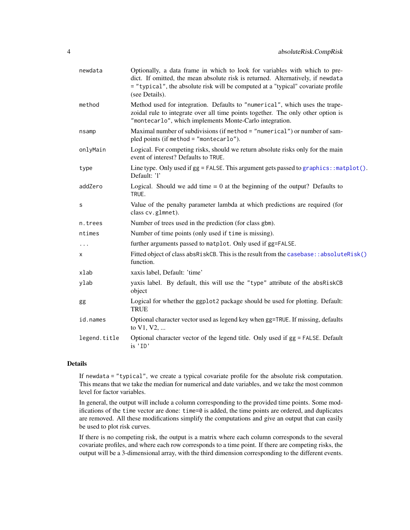<span id="page-3-0"></span>

| Optionally, a data frame in which to look for variables with which to pre-<br>dict. If omitted, the mean absolute risk is returned. Alternatively, if newdata<br>= "typical", the absolute risk will be computed at a "typical" covariate profile<br>(see Details). |
|---------------------------------------------------------------------------------------------------------------------------------------------------------------------------------------------------------------------------------------------------------------------|
| Method used for integration. Defaults to "numerical", which uses the trape-<br>zoidal rule to integrate over all time points together. The only other option is<br>"montecarlo", which implements Monte-Carlo integration.                                          |
| Maximal number of subdivisions (if method = "numerical") or number of sam-<br>pled points (if method = "montecarlo").                                                                                                                                               |
| Logical. For competing risks, should we return absolute risks only for the main<br>event of interest? Defaults to TRUE.                                                                                                                                             |
| Line type. Only used if gg = FALSE. This argument gets passed to graphics:: matplot().<br>Default: 'l'                                                                                                                                                              |
| Logical. Should we add time $= 0$ at the beginning of the output? Defaults to<br>TRUE.                                                                                                                                                                              |
| Value of the penalty parameter lambda at which predictions are required (for<br>class cv.glmnet).                                                                                                                                                                   |
| Number of trees used in the prediction (for class gbm).                                                                                                                                                                                                             |
| Number of time points (only used if time is missing).                                                                                                                                                                                                               |
| further arguments passed to matplot. Only used if gg=FALSE.                                                                                                                                                                                                         |
| Fitted object of class absRiskCB. This is the result from the casebase: : absoluteRisk()<br>function.                                                                                                                                                               |
| xaxis label, Default: 'time'                                                                                                                                                                                                                                        |
| yaxis label. By default, this will use the "type" attribute of the absRiskCB<br>object                                                                                                                                                                              |
| Logical for whether the ggplot2 package should be used for plotting. Default:<br><b>TRUE</b>                                                                                                                                                                        |
| Optional character vector used as legend key when gg=TRUE. If missing, defaults<br>to V1, V2,                                                                                                                                                                       |
| Optional character vector of the legend title. Only used if gg = FALSE. Default<br>is 'ID'                                                                                                                                                                          |
|                                                                                                                                                                                                                                                                     |

# Details

If newdata = "typical", we create a typical covariate profile for the absolute risk computation. This means that we take the median for numerical and date variables, and we take the most common level for factor variables.

In general, the output will include a column corresponding to the provided time points. Some modifications of the time vector are done: time=0 is added, the time points are ordered, and duplicates are removed. All these modifications simplify the computations and give an output that can easily be used to plot risk curves.

If there is no competing risk, the output is a matrix where each column corresponds to the several covariate profiles, and where each row corresponds to a time point. If there are competing risks, the output will be a 3-dimensional array, with the third dimension corresponding to the different events.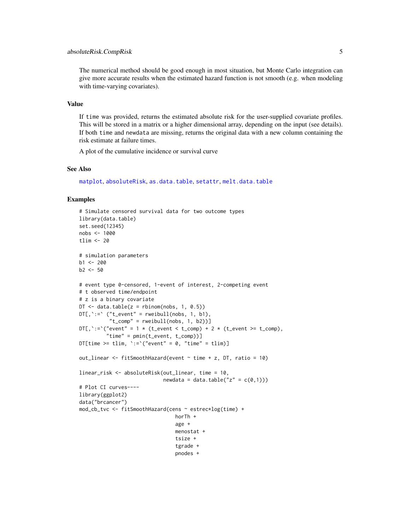# <span id="page-4-0"></span>absoluteRisk.CompRisk 5

The numerical method should be good enough in most situation, but Monte Carlo integration can give more accurate results when the estimated hazard function is not smooth (e.g. when modeling with time-varying covariates).

#### Value

If time was provided, returns the estimated absolute risk for the user-supplied covariate profiles. This will be stored in a matrix or a higher dimensional array, depending on the input (see details). If both time and newdata are missing, returns the original data with a new column containing the risk estimate at failure times.

A plot of the cumulative incidence or survival curve

## See Also

[matplot](#page-0-0), [absoluteRisk](#page-1-1), [as.data.table](#page-0-0), [setattr](#page-0-0), [melt.data.table](#page-0-0)

```
# Simulate censored survival data for two outcome types
library(data.table)
set.seed(12345)
nobs <- 1000
tlim \leq 20
# simulation parameters
b1 < -200b2 < -50# event type 0-censored, 1-event of interest, 2-competing event
# t observed time/endpoint
# z is a binary covariate
DT \le data.table(z = rbinom(nobs, 1, 0.5))
DTC, ':=' (''t_events'' = rweibull(nobs, 1, b1),"t_{comp" = rweibull(nobs, 1, b2))]DT[, `:=`("event" = 1 * (t_{event} < t_{comp}) + 2 * (t_{event} > t_{comp}),
         "time" = pmin(t_event, t_comp))]
DT[time >= tlim, \text{':=}'("event" = 0, "time" = tlim)]
out_linear <- fitSmoothHazard(event ~ time + z, DT, ratio = 10)
linear_risk <- absoluteRisk(out_linear, time = 10,
                             newdata = data.table("z" = c(\emptyset,1)))
# Plot CI curves----
library(ggplot2)
data("brcancer")
mod_cb_tvc <- fitSmoothHazard(cens ~ estrec*log(time) +
                                 horTh +
                                 age +
                                 menostat +
                                 tsize +
                                 tgrade +
                                 pnodes +
```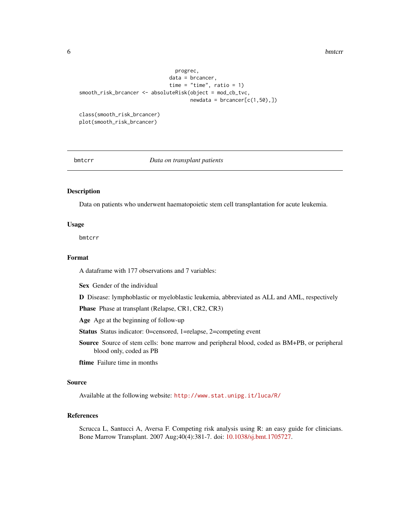```
progrec,
                              data = brcancer,
                              time = "time", ratio = 1)
smooth_risk_brcancer <- absoluteRisk(object = mod_cb_tvc,
                                     newdata = brcancer[c(1,50),])class(smooth_risk_brcancer)
plot(smooth_risk_brcancer)
```
#### bmtcrr *Data on transplant patients*

# Description

Data on patients who underwent haematopoietic stem cell transplantation for acute leukemia.

# Usage

bmtcrr

# Format

A dataframe with 177 observations and 7 variables:

Sex Gender of the individual

D Disease: lymphoblastic or myeloblastic leukemia, abbreviated as ALL and AML, respectively

Phase Phase at transplant (Relapse, CR1, CR2, CR3)

Age Age at the beginning of follow-up

- Status Status indicator: 0=censored, 1=relapse, 2=competing event
- Source Source of stem cells: bone marrow and peripheral blood, coded as BM+PB, or peripheral blood only, coded as PB

ftime Failure time in months

# Source

Available at the following website: <http://www.stat.unipg.it/luca/R/>

# References

Scrucca L, Santucci A, Aversa F. Competing risk analysis using R: an easy guide for clinicians. Bone Marrow Transplant. 2007 Aug;40(4):381-7. doi: [10.1038/sj.bmt.1705727.](https://doi.org/10.1038/sj.bmt.1705727)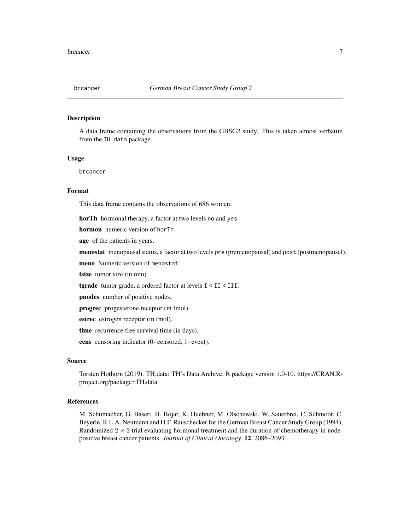#### <span id="page-6-0"></span>Description

A data frame containing the observations from the GBSG2 study. This is taken almost verbatim from the TH.data package.

# Usage

brcancer

# Format

This data frame contains the observations of 686 women:

horTh hormonal therapy, a factor at two levels no and yes.

hormon numeric version of horTh

age of the patients in years.

menostat menopausal status, a factor at two levels pre (premenopausal) and post (postmenopausal).

meno Numeric version of menostat

tsize tumor size (in mm).

tgrade tumor grade, a ordered factor at levels I < II < III.

pnodes number of positive nodes.

progrec progesterone receptor (in fmol).

estrec estrogen receptor (in fmol).

time recurrence free survival time (in days).

cens censoring indicator (0- censored, 1- event).

# Source

Torsten Hothorn (2019). TH.data: TH's Data Archive. R package version 1.0-10. https://CRAN.Rproject.org/package=TH.data

# References

M. Schumacher, G. Basert, H. Bojar, K. Huebner, M. Olschewski, W. Sauerbrei, C. Schmoor, C. Beyerle, R.L.A. Neumann and H.F. Rauschecker for the German Breast Cancer Study Group (1994), Randomized  $2 \times 2$  trial evaluating hormonal treatment and the duration of chemotherapy in nodepositive breast cancer patients. *Journal of Clinical Oncology*, 12, 2086–2093.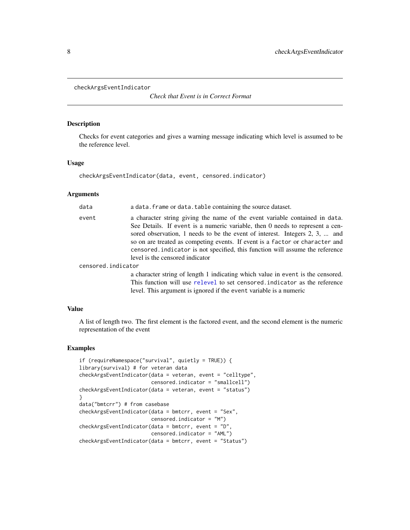<span id="page-7-0"></span>checkArgsEventIndicator

*Check that Event is in Correct Format*

#### Description

Checks for event categories and gives a warning message indicating which level is assumed to be the reference level.

# Usage

checkArgsEventIndicator(data, event, censored.indicator)

## Arguments

| data               | a data. frame or data. table containing the source dataset.                                                                                                                                                                                                                                                                                                                                                                                    |
|--------------------|------------------------------------------------------------------------------------------------------------------------------------------------------------------------------------------------------------------------------------------------------------------------------------------------------------------------------------------------------------------------------------------------------------------------------------------------|
| event              | a character string giving the name of the event variable contained in data.<br>See Details. If event is a numeric variable, then 0 needs to represent a cen-<br>sored observation, 1 needs to be the event of interest. Integers 2, 3,  and<br>so on are treated as competing events. If event is a factor or character and<br>censored indicator is not specified, this function will assume the reference<br>level is the censored indicator |
| censored.indicator |                                                                                                                                                                                                                                                                                                                                                                                                                                                |
|                    | a character string of length 1 indicating which value in event is the censored.                                                                                                                                                                                                                                                                                                                                                                |

This function will use [relevel](#page-0-0) to set censored.indicator as the reference level. This argument is ignored if the event variable is a numeric

# Value

A list of length two. The first element is the factored event, and the second element is the numeric representation of the event

```
if (requireNamespace("survival", quietly = TRUE)) {
library(survival) # for veteran data
checkArgsEventIndicator(data = veteran, event = "celltype",
                        censored.indicator = "smallcell")
checkArgsEventIndicator(data = veteran, event = "status")
}
data("bmtcrr") # from casebase
checkArgsEventIndicator(data = bmtcrr, event = "Sex",
                        censored.indicator = "M")
checkArgsEventIndicator(data = bmtcrr, event = "D",
                        censored.indicator = "AML")
checkArgsEventIndicator(data = bmtcrr, event = "Status")
```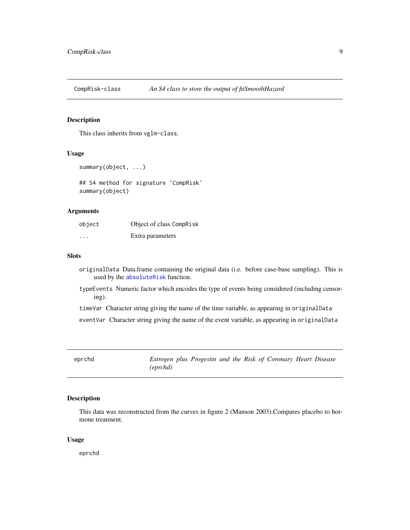<span id="page-8-0"></span>CompRisk-class *An S4 class to store the output of fitSmoothHazard*

# <span id="page-8-1"></span>Description

This class inherits from vglm-class.

# Usage

```
summary(object, ...)
```
## S4 method for signature 'CompRisk' summary(object)

#### Arguments

| object   | Object of class CompRisk |
|----------|--------------------------|
| $\cdots$ | Extra parameters         |

#### Slots

- originalData Data.frame containing the original data (i.e. before case-base sampling). This is used by the [absoluteRisk](#page-1-1) function.
- typeEvents Numeric factor which encodes the type of events being considered (including censoring).

timeVar Character string giving the name of the time variable, as appearing in originalData

eventVar Character string giving the name of the event variable, as appearing in originalData

eprchd *Estrogen plus Progestin and the Risk of Coronary Heart Disease (eprchd)*

# Description

This data was reconstructed from the curves in figure 2 (Manson 2003).Compares placebo to hormone treatment.

#### Usage

eprchd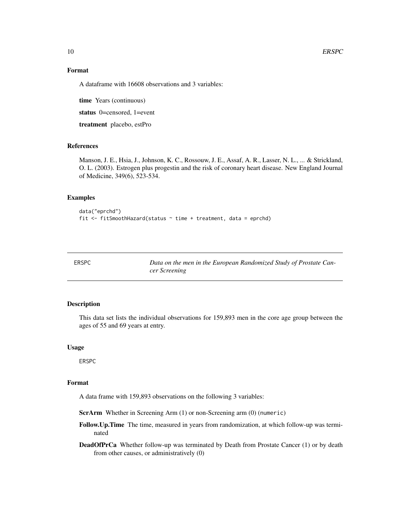# Format

A dataframe with 16608 observations and 3 variables:

time Years (continuous)

status 0=censored, 1=event

treatment placebo, estPro

# References

Manson, J. E., Hsia, J., Johnson, K. C., Rossouw, J. E., Assaf, A. R., Lasser, N. L., ... & Strickland, O. L. (2003). Estrogen plus progestin and the risk of coronary heart disease. New England Journal of Medicine, 349(6), 523-534.

### Examples

```
data("eprchd")
fit \le fitSmoothHazard(status \sim time + treatment, data = eprchd)
```

Data on the men in the European Randomized Study of Prostate Can*cer Screening*

#### Description

This data set lists the individual observations for 159,893 men in the core age group between the ages of 55 and 69 years at entry.

#### Usage

ERSPC

# Format

A data frame with 159,893 observations on the following 3 variables:

ScrArm Whether in Screening Arm (1) or non-Screening arm (0) (numeric)

- Follow.Up.Time The time, measured in years from randomization, at which follow-up was terminated
- DeadOfPrCa Whether follow-up was terminated by Death from Prostate Cancer (1) or by death from other causes, or administratively (0)

<span id="page-9-0"></span>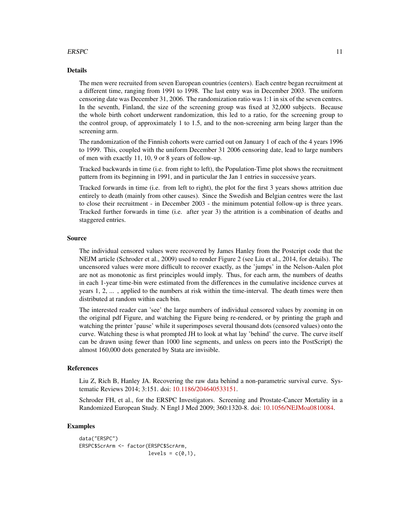# $ERSPC$  11

# Details

The men were recruited from seven European countries (centers). Each centre began recruitment at a different time, ranging from 1991 to 1998. The last entry was in December 2003. The uniform censoring date was December 31, 2006. The randomization ratio was 1:1 in six of the seven centres. In the seventh, Finland, the size of the screening group was fixed at 32,000 subjects. Because the whole birth cohort underwent randomization, this led to a ratio, for the screening group to the control group, of approximately 1 to 1.5, and to the non-screening arm being larger than the screening arm.

The randomization of the Finnish cohorts were carried out on January 1 of each of the 4 years 1996 to 1999. This, coupled with the uniform December 31 2006 censoring date, lead to large numbers of men with exactly 11, 10, 9 or 8 years of follow-up.

Tracked backwards in time (i.e. from right to left), the Population-Time plot shows the recruitment pattern from its beginning in 1991, and in particular the Jan 1 entries in successive years.

Tracked forwards in time (i.e. from left to right), the plot for the first 3 years shows attrition due entirely to death (mainly from other causes). Since the Swedish and Belgian centres were the last to close their recruitment - in December 2003 - the minimum potential follow-up is three years. Tracked further forwards in time (i.e. after year 3) the attrition is a combination of deaths and staggered entries.

#### Source

The individual censored values were recovered by James Hanley from the Postcript code that the NEJM article (Schroder et al., 2009) used to render Figure 2 (see Liu et al., 2014, for details). The uncensored values were more difficult to recover exactly, as the 'jumps' in the Nelson-Aalen plot are not as monotonic as first principles would imply. Thus, for each arm, the numbers of deaths in each 1-year time-bin were estimated from the differences in the cumulative incidence curves at years 1, 2, ... , applied to the numbers at risk within the time-interval. The death times were then distributed at random within each bin.

The interested reader can 'see' the large numbers of individual censored values by zooming in on the original pdf Figure, and watching the Figure being re-rendered, or by printing the graph and watching the printer 'pause' while it superimposes several thousand dots (censored values) onto the curve. Watching these is what prompted JH to look at what lay 'behind' the curve. The curve itself can be drawn using fewer than 1000 line segments, and unless on peers into the PostScript) the almost 160,000 dots generated by Stata are invisible.

# References

Liu Z, Rich B, Hanley JA. Recovering the raw data behind a non-parametric survival curve. Systematic Reviews 2014; 3:151. doi: [10.1186/204640533151.](https://doi.org/10.1186/2046-4053-3-151)

Schroder FH, et al., for the ERSPC Investigators. Screening and Prostate-Cancer Mortality in a Randomized European Study. N Engl J Med 2009; 360:1320-8. doi: [10.1056/NEJMoa0810084.](https://doi.org/10.1056/NEJMoa0810084)

```
data("ERSPC")
ERSPC$ScrArm <- factor(ERSPC$ScrArm,
                       levels = c(0,1),
```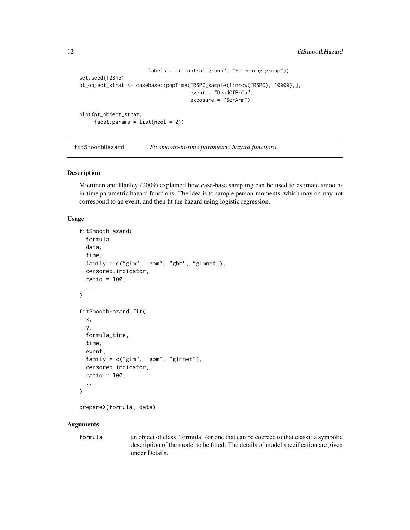```
labels = c("Control group", "Screening group"))
set.seed(12345)
pt_object_strat <- casebase::popTime(ERSPC[sample(1:nrow(ERSPC), 10000),],
                                     event = "DeadOfPrCa",
                                     exposure = "ScrArm")
plot(pt_object_strat,
     facet.params = list(ncol = 2)
```
<span id="page-11-1"></span>fitSmoothHazard *Fit smooth-in-time parametric hazard functions.*

# **Description**

Miettinen and Hanley (2009) explained how case-base sampling can be used to estimate smoothin-time parametric hazard functions. The idea is to sample person-moments, which may or may not correspond to an event, and then fit the hazard using logistic regression.

#### Usage

```
fitSmoothHazard(
  formula,
  data,
  time,
  family = c("glm", "gam", "gbm", "glmnet"),censored.indicator,
  ratio = 100,
  ...
)
fitSmoothHazard.fit(
  x,
 y,
  formula_time,
  time,
  event,
  family = c("glm", "gbm", "glmnet"),
  censored.indicator,
  ratio = 100,
  ...
)
```

```
prepareX(formula, data)
```
# Arguments

formula an object of class "formula" (or one that can be coerced to that class): a symbolic description of the model to be fitted. The details of model specification are given under Details.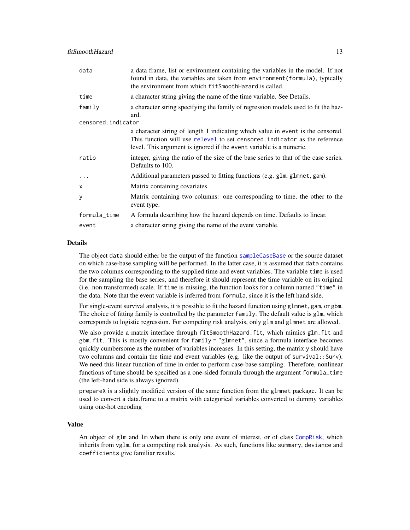<span id="page-12-0"></span>

| data               | a data frame, list or environment containing the variables in the model. If not<br>found in data, the variables are taken from environment (formula), typically<br>the environment from which fit Smooth Hazard is called.          |
|--------------------|-------------------------------------------------------------------------------------------------------------------------------------------------------------------------------------------------------------------------------------|
| time               | a character string giving the name of the time variable. See Details.                                                                                                                                                               |
| family             | a character string specifying the family of regression models used to fit the haz-<br>ard.                                                                                                                                          |
| censored.indicator |                                                                                                                                                                                                                                     |
|                    | a character string of length 1 indicating which value in event is the censored.<br>This function will use relevel to set censored indicator as the reference<br>level. This argument is ignored if the event variable is a numeric. |
| ratio              | integer, giving the ratio of the size of the base series to that of the case series.<br>Defaults to 100.                                                                                                                            |
| $\cdots$           | Additional parameters passed to fitting functions (e.g. glm, glmnet, gam).                                                                                                                                                          |
| $\mathsf{x}$       | Matrix containing covariates.                                                                                                                                                                                                       |
| y                  | Matrix containing two columns: one corresponding to time, the other to the<br>event type.                                                                                                                                           |
| formula_time       | A formula describing how the hazard depends on time. Defaults to linear.                                                                                                                                                            |
| event              | a character string giving the name of the event variable.                                                                                                                                                                           |

# Details

The object data should either be the output of the function [sampleCaseBase](#page-24-1) or the source dataset on which case-base sampling will be performed. In the latter case, it is assumed that data contains the two columns corresponding to the supplied time and event variables. The variable time is used for the sampling the base series, and therefore it should represent the time variable on its original (i.e. non transformed) scale. If time is missing, the function looks for a column named "time" in the data. Note that the event variable is inferred from formula, since it is the left hand side.

For single-event survival analysis, it is possible to fit the hazard function using glmnet, gam, or gbm. The choice of fitting family is controlled by the parameter family. The default value is glm, which corresponds to logistic regression. For competing risk analysis, only glm and glmnet are allowed.

We also provide a matrix interface through fitSmoothHazard.fit, which mimics glm.fit and gbm.fit. This is mostly convenient for family = "glmnet", since a formula interface becomes quickly cumbersome as the number of variables increases. In this setting, the matrix y should have two columns and contain the time and event variables (e.g. like the output of survival::Surv). We need this linear function of time in order to perform case-base sampling. Therefore, nonlinear functions of time should be specified as a one-sided formula through the argument formula\_time (the left-hand side is always ignored).

prepareX is a slightly modified version of the same function from the glmnet package. It can be used to convert a data.frame to a matrix with categorical variables converted to dummy variables using one-hot encoding

# Value

An object of glm and lm when there is only one event of interest, or of class [CompRisk](#page-8-1), which inherits from vglm, for a competing risk analysis. As such, functions like summary, deviance and coefficients give familiar results.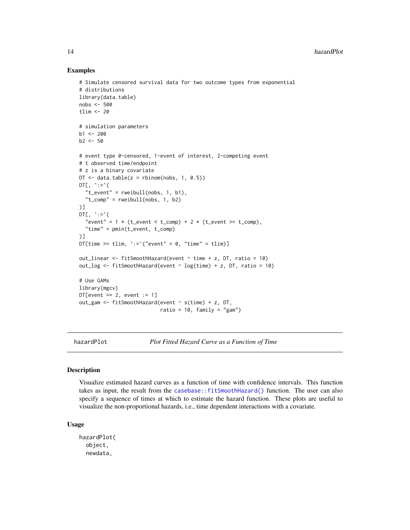# Examples

```
# Simulate censored survival data for two outcome types from exponential
# distributions
library(data.table)
nobs <- 500
tlim <- 20
# simulation parameters
b1 < -200b2 < -50# event type 0-censored, 1-event of interest, 2-competing event
# t observed time/endpoint
# z is a binary covariate
DT \le data.table(z = rbinom(nobs, 1, 0.5))
DT[ , ' := ' ("t_event" = rweibull(nobs, 1, b1),
  "t_{comp" = rweibull(nobs, 1, b2))]
DT[, \leq = \leq (
  "event" = 1 * (t_{event} < t_{comp}) + 2 * (t_{event} > t_{comp}),"time" = pmin(t_event, t_comp)
)]
DT[time >= tlim, \text{':='}("event" = 0, "time" = \text{tlim})]
out_linear <- fitSmoothHazard(event ~ time + z, DT, ratio = 10)
out_log <- fitSmoothHazard(event \sim log(time) + z, DT, ratio = 10)
# Use GAMs
library(mgcv)
DT[event == 2, event := 1]out_gam <- fitSmoothHazard(event ~ s(time) + z, DT,
                            ratio = 10, family = "gam")
```
hazardPlot *Plot Fitted Hazard Curve as a Function of Time*

# Description

Visualize estimated hazard curves as a function of time with confidence intervals. This function takes as input, the result from the [casebase::fitSmoothHazard\(\)](#page-0-0) function. The user can also specify a sequence of times at which to estimate the hazard function. These plots are useful to visualize the non-proportional hazards, i.e., time dependent interactions with a covariate.

#### Usage

hazardPlot( object, newdata,

<span id="page-13-0"></span>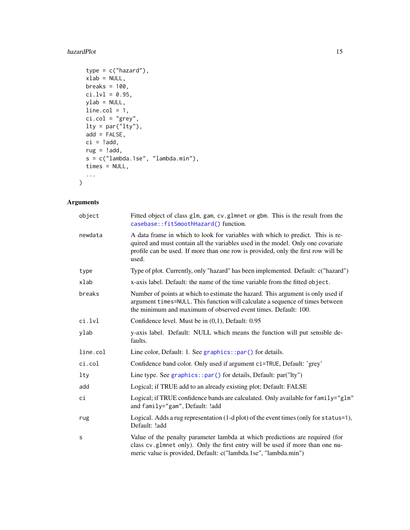## <span id="page-14-0"></span>hazardPlot 15

```
type = c("hazard"),xlab = NULL,breaks = 100,
ci.lvl = 0.95,
ylab = NULL,
line.col = 1,
ci.col = "grey",
lty = par("lty"),
add = FALSE,ci = !add,rug = !add,s = c("lambda.1se", "lambda.min"),
times = NULL,
...
```
# Arguments

 $\mathcal{L}$ 

| object   | Fitted object of class glm, gam, cv. glmnet or gbm. This is the result from the<br>casebase::fitSmoothHazard() function.                                                                                                                                        |
|----------|-----------------------------------------------------------------------------------------------------------------------------------------------------------------------------------------------------------------------------------------------------------------|
| newdata  | A data frame in which to look for variables with which to predict. This is re-<br>quired and must contain all the variables used in the model. Only one covariate<br>profile can be used. If more than one row is provided, only the first row will be<br>used. |
| type     | Type of plot. Currently, only "hazard" has been implemented. Default: c("hazard")                                                                                                                                                                               |
| xlab     | x-axis label. Default: the name of the time variable from the fitted object.                                                                                                                                                                                    |
| breaks   | Number of points at which to estimate the hazard. This argument is only used if<br>argument times=NULL. This function will calculate a sequence of times between<br>the minimum and maximum of observed event times. Default: 100.                              |
| ci.lvl   | Confidence level. Must be in $(0,1)$ , Default: 0.95                                                                                                                                                                                                            |
| ylab     | y-axis label. Default: NULL which means the function will put sensible de-<br>faults.                                                                                                                                                                           |
| line.col | Line color, Default: 1. See graphics::par() for details.                                                                                                                                                                                                        |
| ci.col   | Confidence band color. Only used if argument ci=TRUE, Default: 'grey'                                                                                                                                                                                           |
| $1$ ty   | Line type. See graphics::par() for details, Default: par("lty")                                                                                                                                                                                                 |
| add      | Logical; if TRUE add to an already existing plot; Default: FALSE                                                                                                                                                                                                |
| сi       | Logical; if TRUE confidence bands are calculated. Only available for family="glm"<br>and family="gam", Default: !add                                                                                                                                            |
| rug      | Logical. Adds a rug representation (1-d plot) of the event times (only for status=1),<br>Default: !add                                                                                                                                                          |
| S        | Value of the penalty parameter lambda at which predictions are required (for<br>class cv.glmnet only). Only the first entry will be used if more than one nu-<br>meric value is provided, Default: c("lambda.1se", "lambda.min")                                |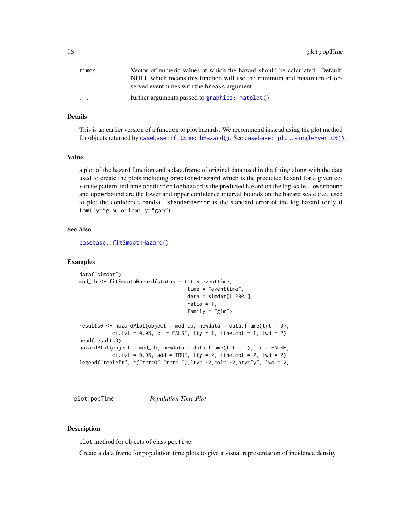<span id="page-15-0"></span>

| times                   | Vector of numeric values at which the hazard should be calculated. Default:                                            |
|-------------------------|------------------------------------------------------------------------------------------------------------------------|
|                         | NULL which means this function will use the minimum and maximum of ob-<br>served event times with the breaks argument. |
| $\cdot$ $\cdot$ $\cdot$ | further arguments passed to $graphics::match()$                                                                        |

# Details

This is an earlier version of a function to plot hazards. We recommend instead using the plot method for objects returned by [casebase::fitSmoothHazard\(\)](#page-0-0). See [casebase::plot.singleEventCB\(\)](#page-0-0).

#### Value

a plot of the hazard function and a data.frame of original data used in the fitting along with the data used to create the plots including predictedhazard which is the predicted hazard for a given covariate pattern and time predictedloghazard is the predicted hazard on the log scale. lowerbound and upperbound are the lower and upper confidence interval bounds on the hazard scale (i.e. used to plot the confidence bands). standarderror is the standard error of the log hazard (only if family="glm" or family="gam")

# See Also

[casebase::fitSmoothHazard\(\)](#page-0-0)

#### Examples

```
data("simdat")
mod_cb <- fitSmoothHazard(status ~ trt * eventtime,
                                    time = "eventtime",
                                     data = simhat[1:200,],
                                     ratio = 1,
                                     family = "glm")
results0 <- hazardPlot(object = mod_cb, newdata = data.frame(\text{tr} = 0),
           ci.lvl = 0.95, ci = FALSE, lty = 1, line.col = 1, lwd = 2)
head(results0)
hazardPlot(object = mod_cb, newdata = data.frame(\text{tr} = 1), ci = FALSE,
           ci.1vl = 0.95, add = TRUE, ltv = 2, line,col = 2, lwd = 2)
legend("topleft", c("trt=0","trt=1"),lty=1:2,col=1:2,bty="y", lwd = 2)
```
<span id="page-15-2"></span>plot.popTime *Population Time Plot*

# <span id="page-15-1"></span>Description

plot method for objects of class popTime

Create a data frame for population time plots to give a visual representation of incidence density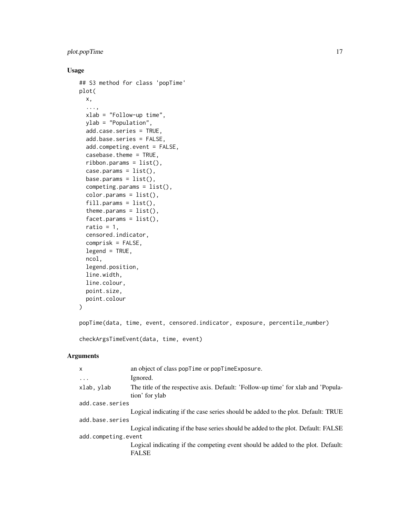# plot.popTime 17

# Usage

```
## S3 method for class 'popTime'
plot(
  x,
  ...,
 xlab = "Follow-up time",
 ylab = "Population",
  add.case.series = TRUE,
  add.base.series = FALSE,
  add.competing.event = FALSE,
  casebase.theme = TRUE,
  ribbon.params = list(),
  case. params = list(),
 base.params = list(),
  competing.params = list(),
  color.params = list(),
  fill. params = list(),
  theme.params = list(),
  facet.params = list(),ratio = 1,
  censored.indicator,
  comprisk = FALSE,
  legend = TRUE,ncol,
  legend.position,
  line.width,
  line.colour,
  point.size,
 point.colour
)
```
popTime(data, time, event, censored.indicator, exposure, percentile\_number)

```
checkArgsTimeEvent(data, time, event)
```
# Arguments

| X.                  | an object of class popTime or popTimeExposure.                                                      |  |
|---------------------|-----------------------------------------------------------------------------------------------------|--|
| $\cdots$            | Ignored.                                                                                            |  |
| xlab, ylab          | The title of the respective axis. Default: 'Follow-up time' for xlab and 'Popula-<br>tion' for ylab |  |
| add.case.series     |                                                                                                     |  |
|                     | Logical indicating if the case series should be added to the plot. Default: TRUE                    |  |
| add.base.series     |                                                                                                     |  |
|                     | Logical indicating if the base series should be added to the plot. Default: FALSE                   |  |
| add.competing.event |                                                                                                     |  |
|                     | Logical indicating if the competing event should be added to the plot. Default:<br><b>FALSE</b>     |  |
|                     |                                                                                                     |  |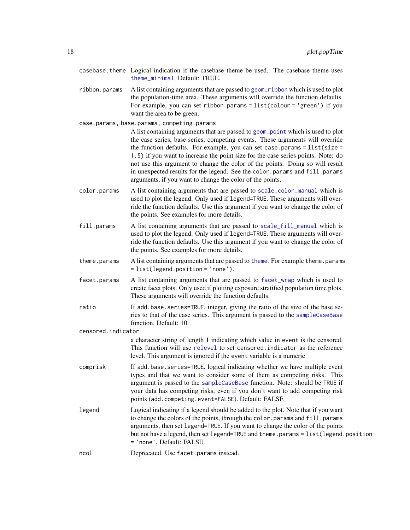- <span id="page-17-0"></span>casebase.theme Logical indication if the casebase theme be used. The casebase theme uses [theme\\_minimal](#page-0-0). Default: TRUE.
- ribbon.params A list containing arguments that are passed to [geom\\_ribbon](#page-0-0) which is used to plot the population-time area. These arguments will override the function defaults. For example, you can set ribbon.params = list(colour = 'green') if you want the area to be green.

case.params, base.params, competing.params

A list containing arguments that are passed to [geom\\_point](#page-0-0) which is used to plot the case series, base series, competing events. These arguments will override the function defaults. For example, you can set case.params = list(size = 1.5) if you want to increase the point size for the case series points. Note: do not use this argument to change the color of the points. Doing so will result in unexpected results for the legend. See the color.params and fill.params arguments, if you want to change the color of the points.

- color.params A list containing arguments that are passed to [scale\\_color\\_manual](#page-0-0) which is used to plot the legend. Only used if legend=TRUE. These arguments will override the function defaults. Use this argument if you want to change the color of the points. See examples for more details.
- fill.params A list containing arguments that are passed to [scale\\_fill\\_manual](#page-0-0) which is used to plot the legend. Only used if legend=TRUE. These arguments will override the function defaults. Use this argument if you want to change the color of the points. See examples for more details.
- [theme](#page-0-0).params A list containing arguments that are passed to theme. For example theme.params = list(legend.position = 'none').
- facet.params A list containing arguments that are passed to [facet\\_wrap](#page-0-0) which is used to create facet plots. Only used if plotting exposure stratified population time plots. These arguments will override the function defaults.
- ratio If add.base.series=TRUE, integer, giving the ratio of the size of the base series to that of the case series. This argument is passed to the [sampleCaseBase](#page-24-1) function. Default: 10.

censored.indicator

a character string of length 1 indicating which value in event is the censored. This function will use [relevel](#page-0-0) to set censored.indicator as the reference level. This argument is ignored if the event variable is a numeric

- comprisk If add.base.series=TRUE, logical indicating whether we have multiple event types and that we want to consider some of them as competing risks. This argument is passed to the [sampleCaseBase](#page-24-1) function. Note: should be TRUE if your data has competing risks, even if you don't want to add competing risk points (add.competing.event=FALSE). Default: FALSE
- legend Logical indicating if a legend should be added to the plot. Note that if you want to change the colors of the points, through the color.params and fill.params arguments, then set legend=TRUE. If you want to change the color of the points but not have a legend, then set legend=TRUE and theme.params = list(legend.position = 'none'. Default: FALSE

ncol Deprecated. Use facet.params instead.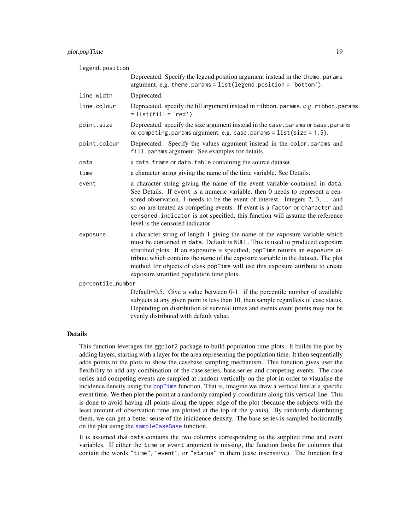# <span id="page-18-0"></span>plot.popTime 19

#### legend.position

|                   | Deprecated. Specify the legend.position argument instead in the theme.params<br>$argument. e.g. theme. params = list(legend. position = 'bottom').$                                                                                                                                                                                                                                                                                                                   |
|-------------------|-----------------------------------------------------------------------------------------------------------------------------------------------------------------------------------------------------------------------------------------------------------------------------------------------------------------------------------------------------------------------------------------------------------------------------------------------------------------------|
| line.width        | Deprecated.                                                                                                                                                                                                                                                                                                                                                                                                                                                           |
| line.colour       | Deprecated. specify the fill argument instead in ribbon.params. e.g. ribbon.params<br>$= list(fill='red').$                                                                                                                                                                                                                                                                                                                                                           |
| point.size        | Deprecated. specify the size argument instead in the case. params or base. params<br>or competing. params argument. e.g. case. params = $list(size = 1.5)$ .                                                                                                                                                                                                                                                                                                          |
| point.colour      | Deprecated. Specify the values argument instead in the color params and<br>fill.params argument. See examples for details.                                                                                                                                                                                                                                                                                                                                            |
| data              | a data. frame or data. table containing the source dataset.                                                                                                                                                                                                                                                                                                                                                                                                           |
| time              | a character string giving the name of the time variable. See Details.                                                                                                                                                                                                                                                                                                                                                                                                 |
| event             | a character string giving the name of the event variable contained in data.<br>See Details. If event is a numeric variable, then 0 needs to represent a cen-<br>sored observation, 1 needs to be the event of interest. Integers 2, 3,  and<br>so on are treated as competing events. If event is a factor or character and<br>censored. indicator is not specified, this function will assume the reference<br>level is the censored indicator                       |
| exposure          | a character string of length 1 giving the name of the exposure variable which<br>must be contained in data. Default is NULL. This is used to produced exposure<br>stratified plots. If an exposure is specified, popTime returns an exposure at-<br>tribute which contains the name of the exposure variable in the dataset. The plot<br>method for objects of class popTime will use this exposure attribute to create<br>exposure stratified population time plots. |
| percentile_number |                                                                                                                                                                                                                                                                                                                                                                                                                                                                       |
|                   | Default=0.5. Give a value between 0-1. if the percentile number of available<br>subjects at any given point is less than 10, then sample regardless of case status.<br>Depending on distribution of survival times and events event points may not be                                                                                                                                                                                                                 |

#### Details

This function leverages the ggplot2 package to build population time plots. It builds the plot by adding layers, starting with a layer for the area representing the population time. It then sequentially adds points to the plots to show the casebase sampling mechanism. This function gives user the flexibility to add any combination of the case.series, base.series and competing events. The case series and competing events are sampled at random vertically on the plot in order to visualise the incidence density using the [popTime](#page-15-1) function. That is, imagine we draw a vertical line at a specific event time. We then plot the point at a randomly sampled y-coordinate along this vertical line. This is done to avoid having all points along the upper edge of the plot (because the subjects with the least amount of observation time are plotted at the top of the y-axis). By randomly distributing them, we can get a better sense of the inicidence density. The base series is sampled horizontally on the plot using the [sampleCaseBase](#page-24-1) function.

evenly distributed with default value.

It is assumed that data contains the two columns corresponding to the supplied time and event variables. If either the time or event argument is missing, the function looks for columns that contain the words "time", "event", or "status" in them (case insensitive). The function first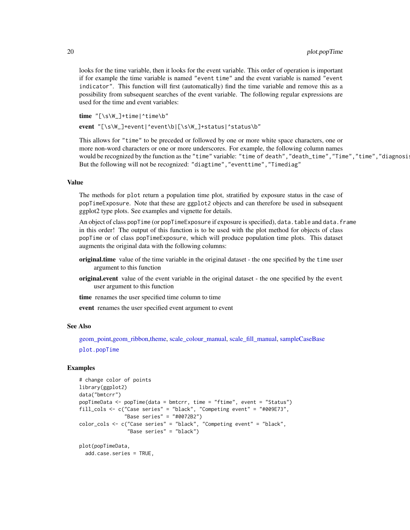looks for the time variable, then it looks for the event variable. This order of operation is important if for example the time variable is named "event time" and the event variable is named "event indicator". This function will first (automatically) find the time variable and remove this as a possibility from subsequent searches of the event variable. The following regular expressions are used for the time and event variables:

time "[\s\W\_]+time|^time\b"

event "[\s\W\_]+event|^event\b|[\s\W\_]+status|^status\b"

This allows for "time" to be preceded or followed by one or more white space characters, one or more non-word characters or one or more underscores. For example, the following column names would be recognized by the function as the "time" variable: "time of death", "death\_time", "Time", "time", "diagnosi But the following will not be recognized: "diagtime","eventtime","Timediag"

#### Value

The methods for plot return a population time plot, stratified by exposure status in the case of popTimeExposure. Note that these are ggplot2 objects and can therefore be used in subsequent ggplot2 type plots. See examples and vignette for details.

An object of class popTime (or popTimeExposure if exposure is specified), data.table and data.frame in this order! The output of this function is to be used with the plot method for objects of class popTime or of class popTimeExposure, which will produce population time plots. This dataset augments the original data with the following columns:

- original.time value of the time variable in the original dataset the one specified by the time user argument to this function
- original.event value of the event variable in the original dataset the one specified by the event user argument to this function
- time renames the user specified time column to time

event renames the user specified event argument to event

#### See Also

[geom\\_point,geom\\_ribbon,theme,](#page-0-0) [scale\\_colour\\_manual,](#page-0-0) [scale\\_fill\\_manual,](#page-0-0) [sampleCaseBase](#page-24-1)

[plot.popTime](#page-15-2)

```
# change color of points
library(ggplot2)
data("bmtcrr")
popTimeData <- popTime(data = bmtcrr, time = "ftime", event = "Status")
fill_cols <- c("Case series" = "black", "Competing event" = "#009E73",
               "Base series" = "#0072B2")
color_cols <- c("Case series" = "black", "Competing event" = "black",
                "Base series" = "black")
plot(popTimeData,
 add.case.series = TRUE,
```
<span id="page-19-0"></span>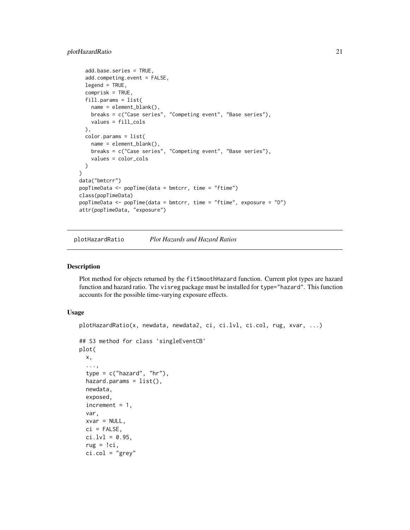# <span id="page-20-0"></span>plotHazardRatio 21

```
add.base.series = TRUE,
  add.competing.event = FALSE,
  legend = TRUE,
  comprisk = TRUE,
  fill.params = list(
   name = element_blank(),
   breaks = c("Case series", "Competing event", "Base series"),
   values = fill_cols
  ),
  color.params = list(
   name = element_blank(),
   breaks = c("Case series", "Competing event", "Base series"),
    values = color_cols
  )
)
data("bmtcrr")
popTimeData <- popTime(data = bmtcrr, time = "ftime")
class(popTimeData)
popTimeData <- popTime(data = bmtcrr, time = "ftime", exposure = "D")
attr(popTimeData, "exposure")
```
plotHazardRatio *Plot Hazards and Hazard Ratios*

#### Description

Plot method for objects returned by the fitSmoothHazard function. Current plot types are hazard function and hazard ratio. The visreg package must be installed for type="hazard". This function accounts for the possible time-varying exposure effects.

# Usage

```
plotHazardRatio(x, newdata, newdata2, ci, ci.lvl, ci.col, rug, xvar, ...)
## S3 method for class 'singleEventCB'
plot(
 x,
  ...,
 type = c("hazard", "hr"),hazard.params = list(),
 newdata,
 exposed,
 increment = 1,var,
 xvar = NULL,ci = FALSE,
 ci.lvl = 0.95,rug = !ci,ci.co1 = "grey"
```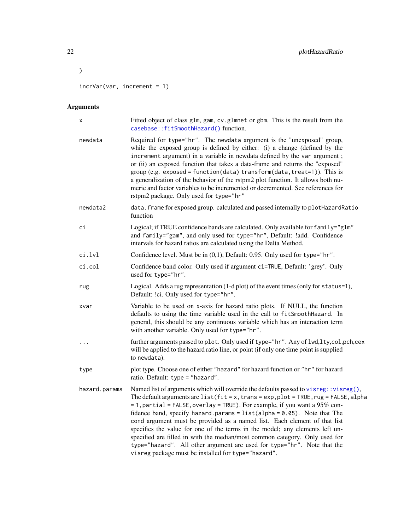incrVar(var, increment = 1)

# Arguments

 $\overline{\phantom{a}}$ 

| х             | Fitted object of class glm, gam, cv.glmnet or gbm. This is the result from the<br>casebase::fitSmoothHazard() function.                                                                                                                                                                                                                                                                                                                                                                                                                                                                                                                                                                                                         |
|---------------|---------------------------------------------------------------------------------------------------------------------------------------------------------------------------------------------------------------------------------------------------------------------------------------------------------------------------------------------------------------------------------------------------------------------------------------------------------------------------------------------------------------------------------------------------------------------------------------------------------------------------------------------------------------------------------------------------------------------------------|
| newdata       | Required for type="hr". The newdata argument is the "unexposed" group,<br>while the exposed group is defined by either: (i) a change (defined by the<br>increment argument) in a variable in newdata defined by the var argument;<br>or (ii) an exposed function that takes a data-frame and returns the "exposed"<br>group (e.g. exposed = function(data) transform(data, treat=1)). This is<br>a generalization of the behavior of the rstpm2 plot function. It allows both nu-<br>meric and factor variables to be incremented or decremented. See references for<br>rstpm2 package. Only used for type="hr"                                                                                                                 |
| newdata2      | data. frame for exposed group. calculated and passed internally to plotHazardRatio<br>function                                                                                                                                                                                                                                                                                                                                                                                                                                                                                                                                                                                                                                  |
| сi            | Logical; if TRUE confidence bands are calculated. Only available for family="glm"<br>and family="gam", and only used for type="hr", Default: !add. Confidence<br>intervals for hazard ratios are calculated using the Delta Method.                                                                                                                                                                                                                                                                                                                                                                                                                                                                                             |
| ci.lvl        | Confidence level. Must be in (0,1), Default: 0.95. Only used for type="hr".                                                                                                                                                                                                                                                                                                                                                                                                                                                                                                                                                                                                                                                     |
| ci.col        | Confidence band color. Only used if argument ci=TRUE, Default: 'grey'. Only<br>used for type="hr".                                                                                                                                                                                                                                                                                                                                                                                                                                                                                                                                                                                                                              |
| rug           | Logical. Adds a rug representation (1-d plot) of the event times (only for status=1),<br>Default: !ci. Only used for type="hr".                                                                                                                                                                                                                                                                                                                                                                                                                                                                                                                                                                                                 |
| xvar          | Variable to be used on x-axis for hazard ratio plots. If NULL, the function<br>defaults to using the time variable used in the call to fitSmoothHazard. In<br>general, this should be any continuous variable which has an interaction term<br>with another variable. Only used for type="hr".                                                                                                                                                                                                                                                                                                                                                                                                                                  |
| .             | further arguments passed to plot. Only used if type="hr". Any of lwd, lty, col, pch, cex<br>will be applied to the hazard ratio line, or point (if only one time point is supplied<br>to newdata).                                                                                                                                                                                                                                                                                                                                                                                                                                                                                                                              |
| type          | plot type. Choose one of either "hazard" for hazard function or "hr" for hazard<br>ratio. Default: type = "hazard".                                                                                                                                                                                                                                                                                                                                                                                                                                                                                                                                                                                                             |
| hazard.params | Named list of arguments which will override the defaults passed to visreg: : visreg $(),$<br>The default arguments are list( $fit = x$ , trans = exp, plot = TRUE, rug = FALSE, alpha<br>= 1, partial = FALSE, overlay = TRUE). For example, if you want a 95% con-<br>fidence band, specify hazard.params = $list(alpha = 0.05)$ . Note that The<br>cond argument must be provided as a named list. Each element of that list<br>specifies the value for one of the terms in the model; any elements left un-<br>specified are filled in with the median/most common category. Only used for<br>type="hazard". All other argument are used for type="hr". Note that the<br>visreg package must be installed for type="hazard". |

<span id="page-21-0"></span>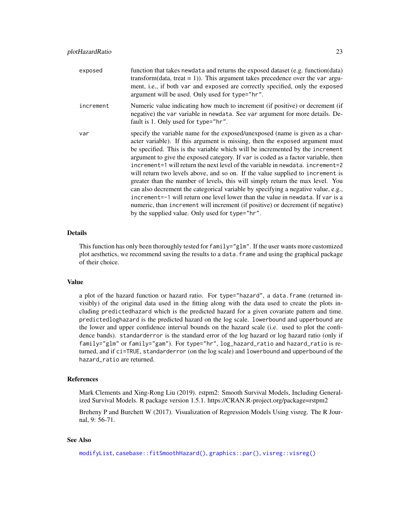<span id="page-22-0"></span>

| exposed   | function that takes newdata and returns the exposed dataset (e.g. function(data)<br>transform(data, treat = 1)). This argument takes precedence over the var argu-<br>ment, i.e., if both var and exposed are correctly specified, only the exposed<br>argument will be used. Only used for type="hr".                                                                                                                                                                                                                                                                                                                                                                                                                                                                                                                                                                                                 |
|-----------|--------------------------------------------------------------------------------------------------------------------------------------------------------------------------------------------------------------------------------------------------------------------------------------------------------------------------------------------------------------------------------------------------------------------------------------------------------------------------------------------------------------------------------------------------------------------------------------------------------------------------------------------------------------------------------------------------------------------------------------------------------------------------------------------------------------------------------------------------------------------------------------------------------|
| increment | Numeric value indicating how much to increment (if positive) or decrement (if<br>negative) the var variable in newdata. See var argument for more details. De-<br>fault is 1. Only used for type="hr".                                                                                                                                                                                                                                                                                                                                                                                                                                                                                                                                                                                                                                                                                                 |
| var       | specify the variable name for the exposed/unexposed (name is given as a char-<br>acter variable). If this argument is missing, then the exposed argument must<br>be specified. This is the variable which will be incremented by the increment<br>argument to give the exposed category. If var is coded as a factor variable, then<br>increment=1 will return the next level of the variable in newdata, increment=2<br>will return two levels above, and so on. If the value supplied to increment is<br>greater than the number of levels, this will simply return the max level. You<br>can also decrement the categorical variable by specifying a negative value, e.g.,<br>increment=-1 will return one level lower than the value in newdata. If var is a<br>numeric, than increment will increment (if positive) or decrement (if negative)<br>by the supplied value. Only used for type="hr". |

# Details

This function has only been thoroughly tested for family="glm". If the user wants more customized plot aesthetics, we recommend saving the results to a data.frame and using the graphical package of their choice.

#### Value

a plot of the hazard function or hazard ratio. For type="hazard", a data.frame (returned invisibly) of the original data used in the fitting along with the data used to create the plots including predictedhazard which is the predicted hazard for a given covariate pattern and time. predictedloghazard is the predicted hazard on the log scale. lowerbound and upperbound are the lower and upper confidence interval bounds on the hazard scale (i.e. used to plot the confidence bands). standarderror is the standard error of the log hazard or log hazard ratio (only if family="glm" or family="gam"). For type="hr", log\_hazard\_ratio and hazard\_ratio is returned, and if ci=TRUE, standarderror (on the log scale) and lowerbound and upperbound of the hazard\_ratio are returned.

#### References

Mark Clements and Xing-Rong Liu (2019). rstpm2: Smooth Survival Models, Including Generalized Survival Models. R package version 1.5.1. https://CRAN.R-project.org/package=rstpm2

Breheny P and Burchett W (2017). Visualization of Regression Models Using visreg. The R Journal, 9: 56-71.

# See Also

[modifyList](#page-0-0), [casebase::fitSmoothHazard\(\)](#page-0-0), [graphics::par\(\)](#page-0-0), [visreg::visreg\(\)](#page-0-0)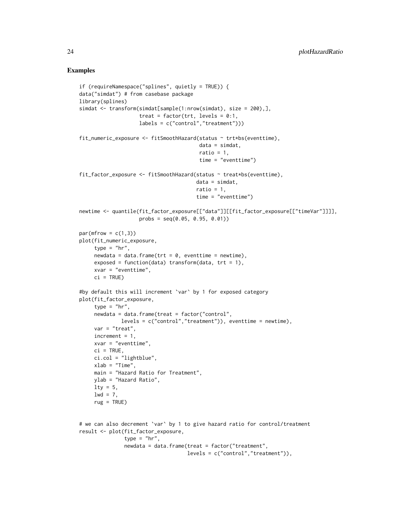```
if (requireNamespace("splines", quietly = TRUE)) {
data("simdat") # from casebase package
library(splines)
simdat <- transform(simdat[sample(1:nrow(simdat), size = 200),],
                    treat = factor(trt, levels = 0:1,
                    labels = c("control","treatment")))
fit_numeric_exposure <- fitSmoothHazard(status ~ trt*bs(eventtime),
                                        data = simdat,
                                        ratio = 1,
                                        time = "eventtime")
fit_factor_exposure <- fitSmoothHazard(status ~ treat*bs(eventtime),
                                       data = simdat,
                                       ratio = 1,
                                       time = "eventtime")
newtime <- quantile(fit_factor_exposure[["data"]][[fit_factor_exposure[["timeVar"]]]],
                    probs = seq(0.05, 0.95, 0.01)par(mfrow = c(1,3))plot(fit_numeric_exposure,
     type = "hr",newdata = data.frame(trt = 0, eventtime = newtime),exposed = function(data) transform(data, tr = 1),
     xvar = "eventtime",
     ci = TRUE#by default this will increment `var` by 1 for exposed category
plot(fit_factor_exposure,
     type = "hr",
     newdata = data.frame(treat = factor("control",
              levels = c("control", "treatment")), eventtime = newtime),
     var = "treat",
    increment = 1,
    xvar = "eventtime",
    ci = TRUE,ci.col = "lightblue",
    xlab = "Time",main = "Hazard Ratio for Treatment",
    ylab = "Hazard Ratio",
    lty = 5,
    1wd = 7,rug = TRUE)
# we can also decrement `var` by 1 to give hazard ratio for control/treatment
result <- plot(fit_factor_exposure,
               type = "hr",
               newdata = data.frame(treat = factor("treatment",
```

```
levels = c("control","treatment")),
```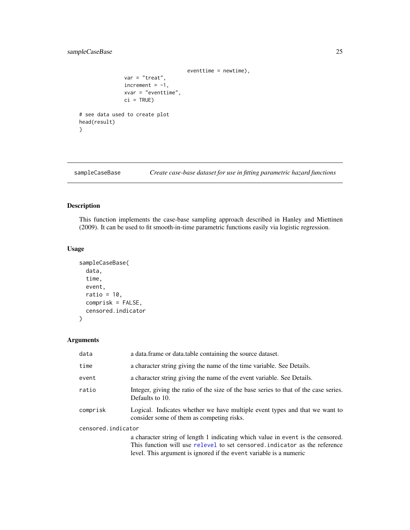# <span id="page-24-0"></span>sampleCaseBase 25

```
eventtime = newtime),
               var = "treat",
               increment = -1,xvar = "eventtime",
               ci = TRUE)
# see data used to create plot
head(result)
```

```
sampleCaseBase Create case-base dataset for use in fitting parametric hazard functions
```
# Description

}

This function implements the case-base sampling approach described in Hanley and Miettinen (2009). It can be used to fit smooth-in-time parametric functions easily via logistic regression.

# Usage

```
sampleCaseBase(
 data,
  time,
 event,
  ratio = 10,
 comprisk = FALSE,
  censored.indicator
)
```
# Arguments

| data               | a data. frame or data. table containing the source dataset.                                                              |  |  |
|--------------------|--------------------------------------------------------------------------------------------------------------------------|--|--|
| time               | a character string giving the name of the time variable. See Details.                                                    |  |  |
| event              | a character string giving the name of the event variable. See Details.                                                   |  |  |
| ratio              | Integer, giving the ratio of the size of the base series to that of the case series.<br>Defaults to 10.                  |  |  |
| comprisk           | Logical. Indicates whether we have multiple event types and that we want to<br>consider some of them as competing risks. |  |  |
| censored.indicator |                                                                                                                          |  |  |
|                    | a character string of length 1 indicating which value in event is the censored.                                          |  |  |
|                    | This function will use relevel to set censored, indicator as the reference                                               |  |  |
|                    | level. This argument is ignored if the event variable is a numeric                                                       |  |  |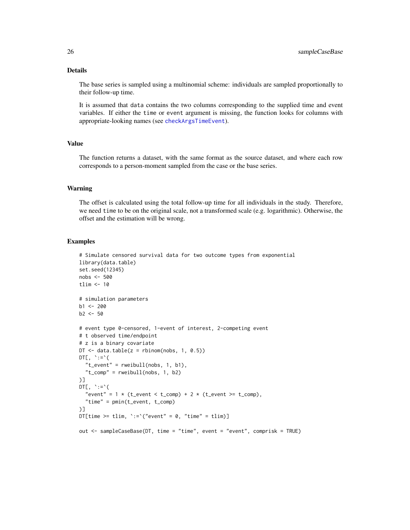# Details

The base series is sampled using a multinomial scheme: individuals are sampled proportionally to their follow-up time.

It is assumed that data contains the two columns corresponding to the supplied time and event variables. If either the time or event argument is missing, the function looks for columns with appropriate-looking names (see [checkArgsTimeEvent](#page-15-1)).

# Value

The function returns a dataset, with the same format as the source dataset, and where each row corresponds to a person-moment sampled from the case or the base series.

#### Warning

The offset is calculated using the total follow-up time for all individuals in the study. Therefore, we need time to be on the original scale, not a transformed scale (e.g. logarithmic). Otherwise, the offset and the estimation will be wrong.

```
# Simulate censored survival data for two outcome types from exponential
library(data.table)
set.seed(12345)
nobs <- 500
tlim <- 10
# simulation parameters
b1 < -200b2 < -50# event type 0-censored, 1-event of interest, 2-competing event
# t observed time/endpoint
# z is a binary covariate
DT \le data.table(z = rbinom(nobs, 1, 0.5))
DT[, \dot{\cdot}:=\dot{\cdot}(
  "t_event" = rweibull(nobs, 1, b1),
  "t_{comp" = rweibull(nobs, 1, b2))]
DT[, \cdot :=\cdot (
  "event" = 1 * (t_{event} < t_{comp}) + 2 * (t_{event} > t_{comp}),"time" = pmin(t_event, t_comp)
)]
DT[time >= tlim, \text{':=}'("event" = 0, "time" = tlim)]
out <- sampleCaseBase(DT, time = "time", event = "event", comprisk = TRUE)
```
<span id="page-25-0"></span>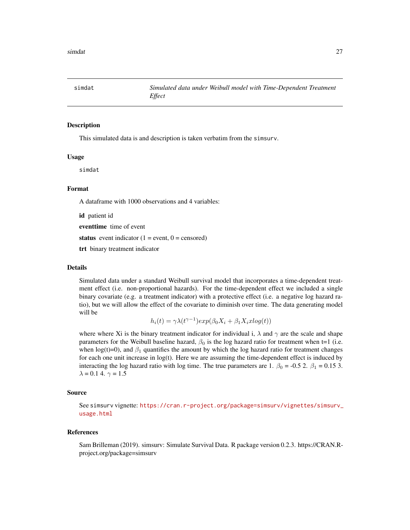<span id="page-26-0"></span>

# Description

This simulated data is and description is taken verbatim from the simsurv.

#### Usage

simdat

#### Format

A dataframe with 1000 observations and 4 variables:

id patient id

eventtime time of event

status event indicator  $(1 = event, 0 = censored)$ 

trt binary treatment indicator

#### Details

Simulated data under a standard Weibull survival model that incorporates a time-dependent treatment effect (i.e. non-proportional hazards). For the time-dependent effect we included a single binary covariate (e.g. a treatment indicator) with a protective effect (i.e. a negative log hazard ratio), but we will allow the effect of the covariate to diminish over time. The data generating model will be

$$
h_i(t) = \gamma \lambda(t^{\gamma - 1}) exp(\beta_0 X_i + \beta_1 X_i x \log(t))
$$

where where Xi is the binary treatment indicator for individual i,  $\lambda$  and  $\gamma$  are the scale and shape parameters for the Weibull baseline hazard,  $\beta_0$  is the log hazard ratio for treatment when t=1 (i.e. when log(t)=0), and  $\beta_1$  quantifies the amount by which the log hazard ratio for treatment changes for each one unit increase in log(t). Here we are assuming the time-dependent effect is induced by interacting the log hazard ratio with log time. The true parameters are 1.  $\beta_0 = -0.5$  2.  $\beta_1 = 0.15$  3.  $\lambda = 0.1$  4.  $\gamma = 1.5$ 

#### Source

See simsurv vignette: [https://cran.r-project.org/package=simsurv/vignettes/simsurv\\_](https://cran.r-project.org/package=simsurv/vignettes/simsurv_usage.html) [usage.html](https://cran.r-project.org/package=simsurv/vignettes/simsurv_usage.html)

#### References

Sam Brilleman (2019). simsurv: Simulate Survival Data. R package version 0.2.3. https://CRAN.Rproject.org/package=simsurv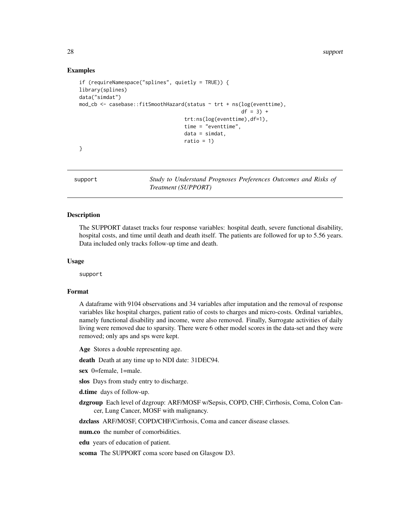<span id="page-27-0"></span>28 support that the contract of the contract of the contract of the contract of the contract of the contract of the contract of the contract of the contract of the contract of the contract of the contract of the contract o

# Examples

```
if (requireNamespace("splines", quietly = TRUE)) {
library(splines)
data("simdat")
mod_cb <- casebase::fitSmoothHazard(status ~ trt + ns(log(eventtime),
                                                      df = 3) +trt:ns(log(eventtime),df=1),
                                   time = "eventtime",
                                   data = simdat,ratio = 1)
}
```
support *Study to Understand Prognoses Preferences Outcomes and Risks of Treatment (SUPPORT)*

# Description

The SUPPORT dataset tracks four response variables: hospital death, severe functional disability, hospital costs, and time until death and death itself. The patients are followed for up to 5.56 years. Data included only tracks follow-up time and death.

# Usage

support

#### Format

A dataframe with 9104 observations and 34 variables after imputation and the removal of response variables like hospital charges, patient ratio of costs to charges and micro-costs. Ordinal variables, namely functional disability and income, were also removed. Finally, Surrogate activities of daily living were removed due to sparsity. There were 6 other model scores in the data-set and they were removed; only aps and sps were kept.

Age Stores a double representing age.

death Death at any time up to NDI date: 31DEC94.

sex 0=female, 1=male.

slos Days from study entry to discharge.

d.time days of follow-up.

dzgroup Each level of dzgroup: ARF/MOSF w/Sepsis, COPD, CHF, Cirrhosis, Coma, Colon Cancer, Lung Cancer, MOSF with malignancy.

dzclass ARF/MOSF, COPD/CHF/Cirrhosis, Coma and cancer disease classes.

num.co the number of comorbidities.

edu years of education of patient.

scoma The SUPPORT coma score based on Glasgow D3.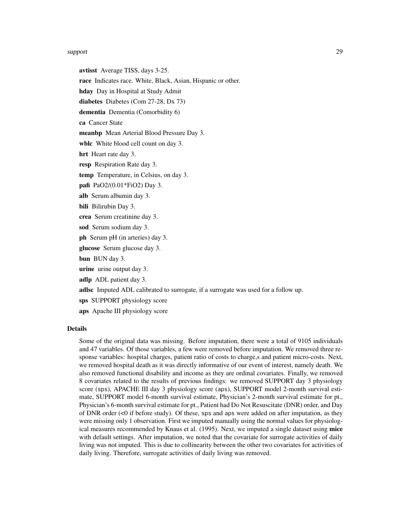#### support that the contract of the contract of the contract of the contract of the contract of the contract of the contract of the contract of the contract of the contract of the contract of the contract of the contract of t

avtisst Average TISS, days 3-25. race Indicates race. White, Black, Asian, Hispanic or other. hday Day in Hospital at Study Admit diabetes Diabetes (Com 27-28, Dx 73) dementia Dementia (Comorbidity 6) ca Cancer State meanbp Mean Arterial Blood Pressure Day 3. wblc White blood cell count on day 3. hrt Heart rate day 3. resp Respiration Rate day 3. temp Temperature, in Celsius, on day 3. pafi PaO2/(0.01\*FiO2) Day 3. alb Serum albumin day 3. bili Bilirubin Day 3. crea Serum creatinine day 3. sod Serum sodium day 3. ph Serum pH (in arteries) day 3. glucose Serum glucose day 3. bun BUN day 3. urine urine output day 3. adlp ADL patient day 3. adlsc Imputed ADL calibrated to surrogate, if a surrogate was used for a follow up. sps SUPPORT physiology score aps Apache III physiology score

# Details

Some of the original data was missing. Before imputation, there were a total of 9105 individuals and 47 variables. Of those variables, a few were removed before imputation. We removed three response variables: hospital charges, patient ratio of costs to charge,s and patient micro-costs. Next, we removed hospital death as it was directly informative of our event of interest, namely death. We also removed functional disability and income as they are ordinal covariates. Finally, we removed 8 covariates related to the results of previous findings: we removed SUPPORT day 3 physiology score (sps), APACHE III day 3 physiology score (aps), SUPPORT model 2-month survival estimate, SUPPORT model 6-month survival estimate, Physician's 2-month survival estimate for pt., Physician's 6-month survival estimate for pt., Patient had Do Not Resuscitate (DNR) order, and Day of DNR order  $\leq 0$  if before study). Of these, sps and aps were added on after imputation, as they were missing only 1 observation. First we imputed manually using the normal values for physiological measures recommended by Knaus et al. (1995). Next, we imputed a single dataset using **mice** with default settings. After imputation, we noted that the covariate for surrogate activities of daily living was not imputed. This is due to collinearity between the other two covariates for activities of daily living. Therefore, surrogate activities of daily living was removed.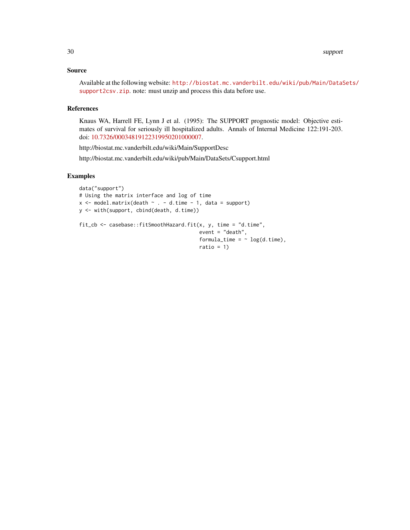# Source

Available at the following website: [http://biostat.mc.vanderbilt.edu/wiki/pub/Main/DataS](http://biostat.mc.vanderbilt.edu/wiki/pub/Main/DataSets/support2csv.zip)ets/ [support2csv.zip](http://biostat.mc.vanderbilt.edu/wiki/pub/Main/DataSets/support2csv.zip). note: must unzip and process this data before use.

# References

Knaus WA, Harrell FE, Lynn J et al. (1995): The SUPPORT prognostic model: Objective estimates of survival for seriously ill hospitalized adults. Annals of Internal Medicine 122:191-203. doi: [10.7326/00034819122319950201000007.](https://doi.org/10.7326/0003-4819-122-3-199502010-00007)

http://biostat.mc.vanderbilt.edu/wiki/Main/SupportDesc

http://biostat.mc.vanderbilt.edu/wiki/pub/Main/DataSets/Csupport.html

```
data("support")
# Using the matrix interface and log of time
x \le model.matrix(death \sim . - d.time - 1, data = support)
y <- with(support, cbind(death, d.time))
fit_cb <- casebase::fitSmoothHazard.fit(x, y, time = "d.time",
                                         event = "death",
                                         formula_time = \sim log(d.time),
                                         ratio = 1)
```